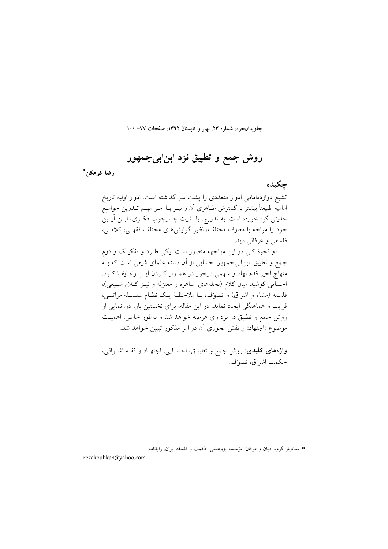جاویدانخرد، شماره ۲۳، بهار و تابستان ۱۳۹۲، صفحات ۷۷– ۱۰۰

روش جمع و تطبیق نزد ابن!بیجمهور

رضا کوهکن\*

حكىدە

تشیع دوازدهامامی ادوار متعددی را پشت سر گذاشته است. ادوار اولیه تاریخ امامیه طبیعتاً بیشتر با گسترش ظـاهری آن و نیــز بــا امــر مهــم تــدوین جوامــع حدیثی گره خورده است. به تدریج، با تثبیت چـارچوب فکـری، ایــن اَیــین خود را مواجه با معارف مختلف، نظیر گرایشهای مختلف فقهـی، کلامـی، فلسفي و عرفاني ديد.

دو نحوهٔ کلی در این مواجهه متصور است: یکی طـرد و تفکیـک و دوم جمع و تطبیق. ابن|بیجمهور احسایی از آن دسته علمای شیعی است که بـه منهاج اخیر قدم نهاد و سهمی درخور در همـوار کـردن ایـن راه ایفـا کـرد. احسایی کوشید میان کلام (نحلههای اشاعره و معتزله و نیـز کـلام شـیعی)، فلسفه (مشاء و اشراق) و تصوّف، بـا ملاحظـهٔ یـک نظـام سلسـله مراتبـی، قرابت و هماهنگی ایجاد نماید. در این مقاله، برای نخستین بار، دورنمایی از روش جمع و تطبیق در نزد وی عرضه خواهد شد و بهطور خاص، اهمیـت موضوع «اجتهاد» و نقش محوری آن در امر مذکور تبیین خواهد شد.

**واژههای کلیدی:** روش جمع و تطبیــق، احســایی، اجتهــاد و فقــه اشــراقی، حكمت اشراق، تصوّف.

\* استادیار گروه ادیان و عرفان، مؤسسه پژوهشی حکمت و فلسفه ایران. رایانامه:

rezakouhkan@yahoo.com